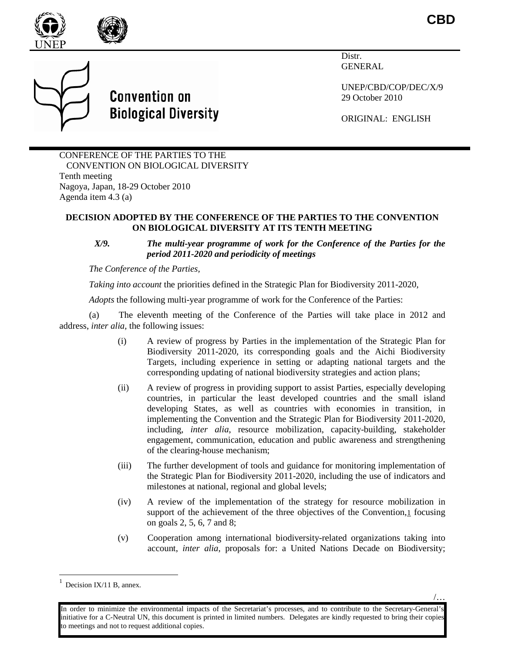**CBD**

/…





Distr. GENERAL

UNEP/CBD/COP/DEC/X/9 29 October 2010

ORIGINAL: ENGLISH

CONFERENCE OF THE PARTIES TO THE CONVENTION ON BIOLOGICAL DIVERSITY Tenth meeting Nagoya, Japan, 18-29 October 2010 Agenda item 4.3 (a)

**Convention on** 

**Biological Diversity** 

## **DECISION ADOPTED BY THE CONFERENCE OF THE PARTIES TO THE CONVENTION ON BIOLOGICAL DIVERSITY AT ITS TENTH MEETING**

## *X/9. The multi-year programme of work for the Conference of the Parties for the period 2011-2020 and periodicity of meetings*

*The Conference of the Parties,*

*Taking into account* the priorities defined in the Strategic Plan for Biodiversity 2011-2020,

*Adopts* the following multi-year programme of work for the Conference of the Parties:

(a) The eleventh meeting of the Conference of the Parties will take place in 2012 and address, *inter alia,* the following issues:

- (i) A review of progress by Parties in the implementation of the Strategic Plan for Biodiversity 2011-2020, its corresponding goals and the Aichi Biodiversity Targets, including experience in setting or adapting national targets and the corresponding updating of national biodiversity strategies and action plans;
- (ii) A review of progress in providing support to assist Parties, especially developing countries, in particular the least developed countries and the small island developing States, as well as countries with economies in transition, in implementing the Convention and the Strategic Plan for Biodiversity 2011-2020, including, *inter alia*, resource mobilization, capacity-building, stakeholder engagement, communication, education and public awareness and strengthening of the clearing-house mechanism;
- (iii) The further development of tools and guidance for monitoring implementation of the Strategic Plan for Biodiversity 2011-2020, including the use of indicators and milestones at national, regional and global levels;
- (iv) A review of the implementation of the strategy for resource mobilization in support of the achievement of the three objectives of the Convention,[1](#page-0-0) focusing on goals 2, 5, 6, 7 and 8;
- (v) Cooperation among international biodiversity-related organizations taking into account, *inter alia*, proposals for: a United Nations Decade on Biodiversity;

<span id="page-0-0"></span>Decision IX/11 B, annex.

In order to minimize the environmental impacts of the Secretariat's processes, and to contribute to the Secretary-General's initiative for a C-Neutral UN, this document is printed in limited numbers. Delegates are kindly requested to bring their copies o meetings and not to request additional copies.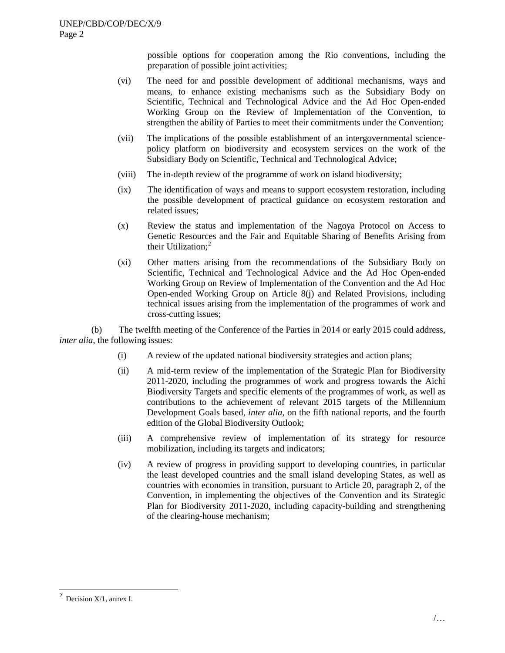possible options for cooperation among the Rio conventions, including the preparation of possible joint activities;

- (vi) The need for and possible development of additional mechanisms, ways and means, to enhance existing mechanisms such as the Subsidiary Body on Scientific, Technical and Technological Advice and the Ad Hoc Open-ended Working Group on the Review of Implementation of the Convention, to strengthen the ability of Parties to meet their commitments under the Convention;
- (vii) The implications of the possible establishment of an intergovernmental sciencepolicy platform on biodiversity and ecosystem services on the work of the Subsidiary Body on Scientific, Technical and Technological Advice;
- (viii) The in-depth review of the programme of work on island biodiversity;
- (ix) The identification of ways and means to support ecosystem restoration, including the possible development of practical guidance on ecosystem restoration and related issues;
- (x) Review the status and implementation of the Nagoya Protocol on Access to Genetic Resources and the Fair and Equitable Sharing of Benefits Arising from their Utilization;<sup>[2](#page-1-0)</sup>
- (xi) Other matters arising from the recommendations of the Subsidiary Body on Scientific, Technical and Technological Advice and the Ad Hoc Open-ended Working Group on Review of Implementation of the Convention and the Ad Hoc Open-ended Working Group on Article 8(j) and Related Provisions, including technical issues arising from the implementation of the programmes of work and cross-cutting issues;

(b) The twelfth meeting of the Conference of the Parties in 2014 or early 2015 could address, *inter alia*, the following issues:

- (i) A review of the updated national biodiversity strategies and action plans;
- (ii) A mid-term review of the implementation of the Strategic Plan for Biodiversity 2011-2020, including the programmes of work and progress towards the Aichi Biodiversity Targets and specific elements of the programmes of work, as well as contributions to the achievement of relevant 2015 targets of the Millennium Development Goals based, *inter alia,* on the fifth national reports, and the fourth edition of the Global Biodiversity Outlook;
- (iii) A comprehensive review of implementation of its strategy for resource mobilization, including its targets and indicators;
- (iv) A review of progress in providing support to developing countries, in particular the least developed countries and the small island developing States, as well as countries with economies in transition, pursuant to Article 20, paragraph 2, of the Convention, in implementing the objectives of the Convention and its Strategic Plan for Biodiversity 2011-2020, including capacity-building and strengthening of the clearing-house mechanism;

<span id="page-1-0"></span> $\frac{1}{2}$ <sup>2</sup> Decision  $X/1$ , annex I.